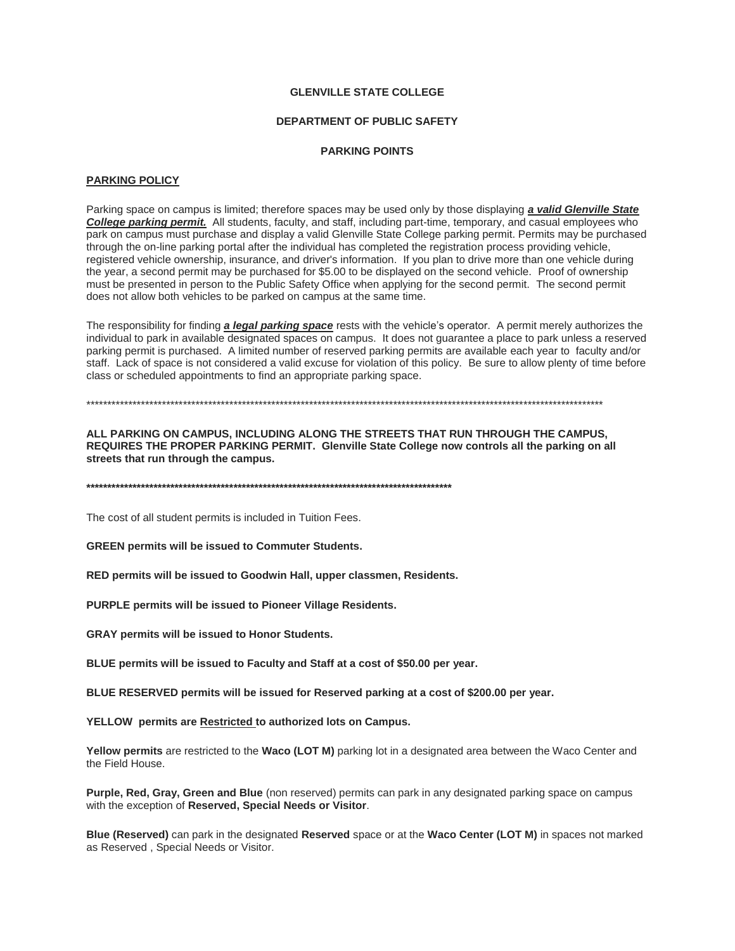## **GLENVILLE STATE COLLEGE**

## **DEPARTMENT OF PUBLIC SAFETY**

#### **PARKING POINTS**

## **PARKING POLICY**

Parking space on campus is limited; therefore spaces may be used only by those displaying *a valid Glenville State College parking permit.* All students, faculty, and staff, including part-time, temporary, and casual employees who park on campus must purchase and display a valid Glenville State College parking permit. Permits may be purchased through the on-line parking portal after the individual has completed the registration process providing vehicle, registered vehicle ownership, insurance, and driver's information. If you plan to drive more than one vehicle during the year, a second permit may be purchased for \$5.00 to be displayed on the second vehicle. Proof of ownership must be presented in person to the Public Safety Office when applying for the second permit. The second permit does not allow both vehicles to be parked on campus at the same time.

The responsibility for finding *a legal parking space* rests with the vehicle's operator. A permit merely authorizes the individual to park in available designated spaces on campus. It does not guarantee a place to park unless a reserved parking permit is purchased. A limited number of reserved parking permits are available each year to faculty and/or staff. Lack of space is not considered a valid excuse for violation of this policy. Be sure to allow plenty of time before class or scheduled appointments to find an appropriate parking space.

\*\*\*\*\*\*\*\*\*\*\*\*\*\*\*\*\*\*\*\*\*\*\*\*\*\*\*\*\*\*\*\*\*\*\*\*\*\*\*\*\*\*\*\*\*\*\*\*\*\*\*\*\*\*\*\*\*\*\*\*\*\*\*\*\*\*\*\*\*\*\*\*\*\*\*\*\*\*\*\*\*\*\*\*\*\*\*\*\*\*\*\*\*\*\*\*\*\*\*\*\*\*\*\*\*\*\*\*\*\*\*\*\*\*\*\*\*\*\*\*\*\*\*

**ALL PARKING ON CAMPUS, INCLUDING ALONG THE STREETS THAT RUN THROUGH THE CAMPUS, REQUIRES THE PROPER PARKING PERMIT. Glenville State College now controls all the parking on all streets that run through the campus.**

**\*\*\*\*\*\*\*\*\*\*\*\*\*\*\*\*\*\*\*\*\*\*\*\*\*\*\*\*\*\*\*\*\*\*\*\*\*\*\*\*\*\*\*\*\*\*\*\*\*\*\*\*\*\*\*\*\*\*\*\*\*\*\*\*\*\*\*\*\*\*\*\*\*\*\*\*\*\*\*\*\*\*\*\*\*\*\***

The cost of all student permits is included in Tuition Fees.

**GREEN permits will be issued to Commuter Students.** 

**RED permits will be issued to Goodwin Hall, upper classmen, Residents.** 

**PURPLE permits will be issued to Pioneer Village Residents.**

**GRAY permits will be issued to Honor Students.**

**BLUE permits will be issued to Faculty and Staff at a cost of \$50.00 per year.** 

**BLUE RESERVED permits will be issued for Reserved parking at a cost of \$200.00 per year.** 

**YELLOW permits are Restricted to authorized lots on Campus.**

**Yellow permits** are restricted to the **Waco (LOT M)** parking lot in a designated area between the Waco Center and the Field House.

**Purple, Red, Gray, Green and Blue** (non reserved) permits can park in any designated parking space on campus with the exception of **Reserved, Special Needs or Visitor**.

**Blue (Reserved)** can park in the designated **Reserved** space or at the **Waco Center (LOT M)** in spaces not marked as Reserved , Special Needs or Visitor.